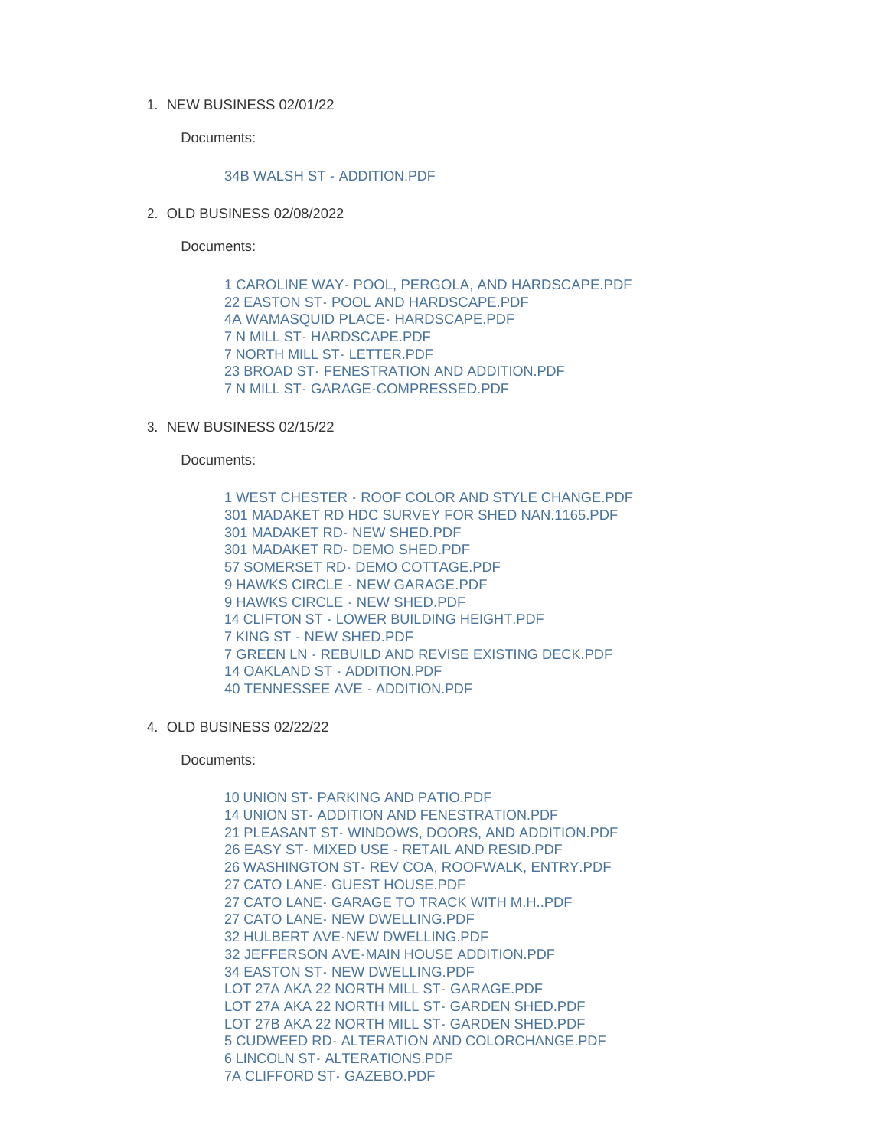1. NEW BUSINESS 02/01/22

Documents:

## [34B WALSH ST - ADDITION.PDF](https://www.nantucket-ma.gov/AgendaCenter/ViewFile/Item/4479?fileID=37156)

2. OLD BUSINESS 02/08/2022

Documents:

[1 CAROLINE WAY- POOL, PERGOLA, AND HARDSCAPE.PDF](https://www.nantucket-ma.gov/AgendaCenter/ViewFile/Item/4480?fileID=37157) [22 EASTON ST- POOL AND HARDSCAPE.PDF](https://www.nantucket-ma.gov/AgendaCenter/ViewFile/Item/4480?fileID=37158) [4A WAMASQUID PLACE- HARDSCAPE.PDF](https://www.nantucket-ma.gov/AgendaCenter/ViewFile/Item/4480?fileID=37159) [7 N MILL ST- HARDSCAPE.PDF](https://www.nantucket-ma.gov/AgendaCenter/ViewFile/Item/4480?fileID=37160) [7 NORTH MILL ST- LETTER.PDF](https://www.nantucket-ma.gov/AgendaCenter/ViewFile/Item/4480?fileID=37161) [23 BROAD ST- FENESTRATION AND ADDITION.PDF](https://www.nantucket-ma.gov/AgendaCenter/ViewFile/Item/4480?fileID=37162) [7 N MILL ST- GARAGE-COMPRESSED.PDF](https://www.nantucket-ma.gov/AgendaCenter/ViewFile/Item/4480?fileID=37163)

## 3. NEW BUSINESS 02/15/22

Documents:

[1 WEST CHESTER - ROOF COLOR AND STYLE CHANGE.PDF](https://www.nantucket-ma.gov/AgendaCenter/ViewFile/Item/4481?fileID=37164) [301 MADAKET RD HDC SURVEY FOR SHED NAN.1165.PDF](https://www.nantucket-ma.gov/AgendaCenter/ViewFile/Item/4481?fileID=37165) [301 MADAKET RD- NEW SHED.PDF](https://www.nantucket-ma.gov/AgendaCenter/ViewFile/Item/4481?fileID=37166) [301 MADAKET RD- DEMO SHED.PDF](https://www.nantucket-ma.gov/AgendaCenter/ViewFile/Item/4481?fileID=37167) [57 SOMERSET RD- DEMO COTTAGE.PDF](https://www.nantucket-ma.gov/AgendaCenter/ViewFile/Item/4481?fileID=37168) [9 HAWKS CIRCLE - NEW GARAGE.PDF](https://www.nantucket-ma.gov/AgendaCenter/ViewFile/Item/4481?fileID=37169) 9 HAWKS CIRCLE - NEW SHED PDF [14 CLIFTON ST - LOWER BUILDING HEIGHT.PDF](https://www.nantucket-ma.gov/AgendaCenter/ViewFile/Item/4481?fileID=37171) [7 KING ST - NEW SHED.PDF](https://www.nantucket-ma.gov/AgendaCenter/ViewFile/Item/4481?fileID=37172) [7 GREEN LN - REBUILD AND REVISE EXISTING DECK.PDF](https://www.nantucket-ma.gov/AgendaCenter/ViewFile/Item/4481?fileID=37173) [14 OAKLAND ST - ADDITION.PDF](https://www.nantucket-ma.gov/AgendaCenter/ViewFile/Item/4481?fileID=37174) [40 TENNESSEE AVE - ADDITION.PDF](https://www.nantucket-ma.gov/AgendaCenter/ViewFile/Item/4481?fileID=37175)

OLD BUSINESS 02/22/22 4.

Documents:

[10 UNION ST- PARKING AND PATIO.PDF](https://www.nantucket-ma.gov/AgendaCenter/ViewFile/Item/4482?fileID=37176) [14 UNION ST- ADDITION AND FENESTRATION.PDF](https://www.nantucket-ma.gov/AgendaCenter/ViewFile/Item/4482?fileID=37177) [21 PLEASANT ST- WINDOWS, DOORS, AND ADDITION.PDF](https://www.nantucket-ma.gov/AgendaCenter/ViewFile/Item/4482?fileID=37178) [26 EASY ST- MIXED USE - RETAIL AND RESID.PDF](https://www.nantucket-ma.gov/AgendaCenter/ViewFile/Item/4482?fileID=37179) [26 WASHINGTON ST- REV COA, ROOFWALK, ENTRY.PDF](https://www.nantucket-ma.gov/AgendaCenter/ViewFile/Item/4482?fileID=37180) [27 CATO LANE- GUEST HOUSE.PDF](https://www.nantucket-ma.gov/AgendaCenter/ViewFile/Item/4482?fileID=37181) [27 CATO LANE- GARAGE TO TRACK WITH M.H..PDF](https://www.nantucket-ma.gov/AgendaCenter/ViewFile/Item/4482?fileID=37182) [27 CATO LANE- NEW DWELLING.PDF](https://www.nantucket-ma.gov/AgendaCenter/ViewFile/Item/4482?fileID=37183) [32 HULBERT AVE-NEW DWELLING.PDF](https://www.nantucket-ma.gov/AgendaCenter/ViewFile/Item/4482?fileID=37184) [32 JEFFERSON AVE-MAIN HOUSE ADDITION.PDF](https://www.nantucket-ma.gov/AgendaCenter/ViewFile/Item/4482?fileID=37185) [34 EASTON ST- NEW DWELLING.PDF](https://www.nantucket-ma.gov/AgendaCenter/ViewFile/Item/4482?fileID=37186) [LOT 27A AKA 22 NORTH MILL ST- GARAGE.PDF](https://www.nantucket-ma.gov/AgendaCenter/ViewFile/Item/4482?fileID=37187) [LOT 27A AKA 22 NORTH MILL ST- GARDEN SHED.PDF](https://www.nantucket-ma.gov/AgendaCenter/ViewFile/Item/4482?fileID=37188) [LOT 27B AKA 22 NORTH MILL ST- GARDEN SHED.PDF](https://www.nantucket-ma.gov/AgendaCenter/ViewFile/Item/4482?fileID=37189) [5 CUDWEED RD- ALTERATION AND COLORCHANGE.PDF](https://www.nantucket-ma.gov/AgendaCenter/ViewFile/Item/4482?fileID=37190) [6 LINCOLN ST- ALTERATIONS.PDF](https://www.nantucket-ma.gov/AgendaCenter/ViewFile/Item/4482?fileID=37191) [7A CLIFFORD ST- GAZEBO.PDF](https://www.nantucket-ma.gov/AgendaCenter/ViewFile/Item/4482?fileID=37192)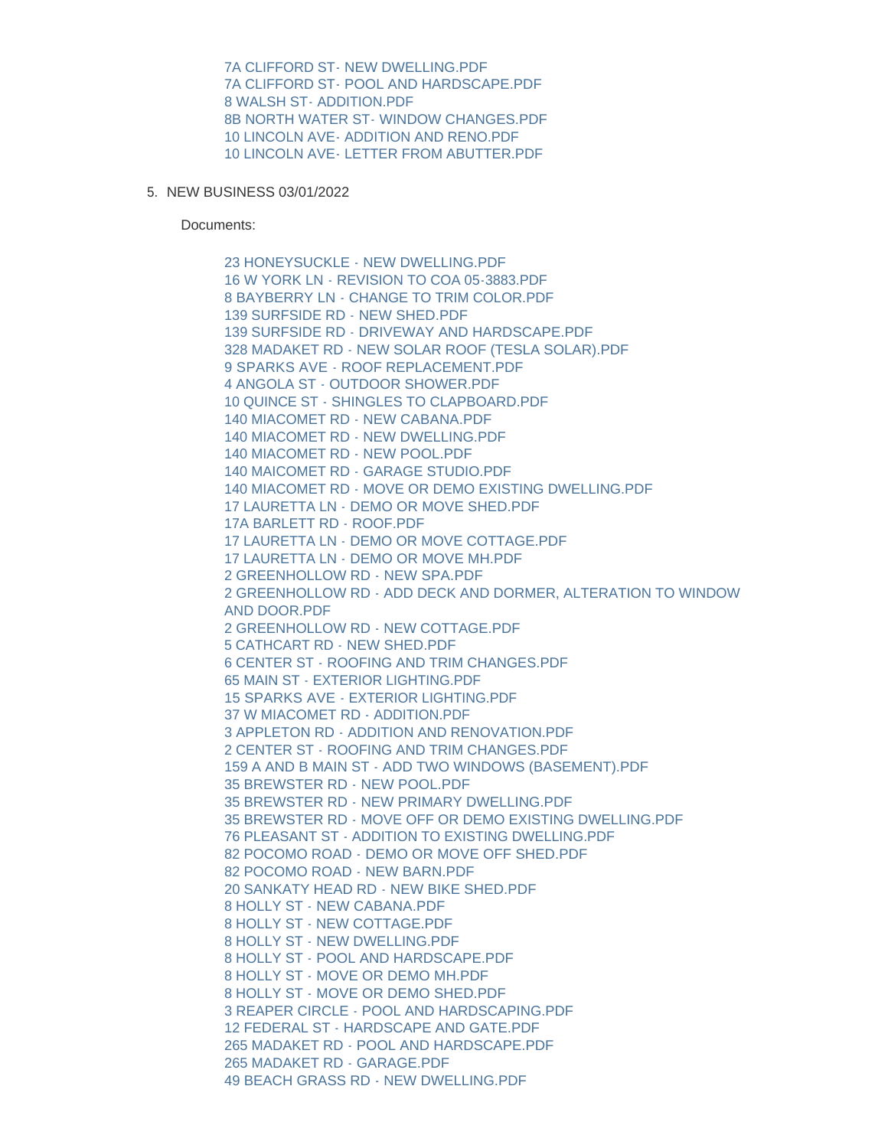[7A CLIFFORD ST- NEW DWELLING.PDF](https://www.nantucket-ma.gov/AgendaCenter/ViewFile/Item/4482?fileID=37193) [7A CLIFFORD ST- POOL AND HARDSCAPE.PDF](https://www.nantucket-ma.gov/AgendaCenter/ViewFile/Item/4482?fileID=37194) [8 WALSH ST- ADDITION.PDF](https://www.nantucket-ma.gov/AgendaCenter/ViewFile/Item/4482?fileID=37195) [8B NORTH WATER ST- WINDOW CHANGES.PDF](https://www.nantucket-ma.gov/AgendaCenter/ViewFile/Item/4482?fileID=37196) [10 LINCOLN AVE- ADDITION AND RENO.PDF](https://www.nantucket-ma.gov/AgendaCenter/ViewFile/Item/4482?fileID=37197) [10 LINCOLN AVE- LETTER FROM ABUTTER.PDF](https://www.nantucket-ma.gov/AgendaCenter/ViewFile/Item/4482?fileID=37198)

5. NEW BUSINESS 03/01/2022

Documents:

[23 HONEYSUCKLE - NEW DWELLING.PDF](https://www.nantucket-ma.gov/AgendaCenter/ViewFile/Item/4483?fileID=37199) [16 W YORK LN - REVISION TO COA 05-3883.PDF](https://www.nantucket-ma.gov/AgendaCenter/ViewFile/Item/4483?fileID=37200) [8 BAYBERRY LN - CHANGE TO TRIM COLOR.PDF](https://www.nantucket-ma.gov/AgendaCenter/ViewFile/Item/4483?fileID=37201) [139 SURFSIDE RD - NEW SHED.PDF](https://www.nantucket-ma.gov/AgendaCenter/ViewFile/Item/4483?fileID=37202) [139 SURFSIDE RD - DRIVEWAY AND HARDSCAPE.PDF](https://www.nantucket-ma.gov/AgendaCenter/ViewFile/Item/4483?fileID=37203) [328 MADAKET RD - NEW SOLAR ROOF \(TESLA SOLAR\).PDF](https://www.nantucket-ma.gov/AgendaCenter/ViewFile/Item/4483?fileID=37204) [9 SPARKS AVE - ROOF REPLACEMENT.PDF](https://www.nantucket-ma.gov/AgendaCenter/ViewFile/Item/4483?fileID=37205) [4 ANGOLA ST - OUTDOOR SHOWER.PDF](https://www.nantucket-ma.gov/AgendaCenter/ViewFile/Item/4483?fileID=37206) [10 QUINCE ST - SHINGLES TO CLAPBOARD.PDF](https://www.nantucket-ma.gov/AgendaCenter/ViewFile/Item/4483?fileID=37207) [140 MIACOMET RD - NEW CABANA.PDF](https://www.nantucket-ma.gov/AgendaCenter/ViewFile/Item/4483?fileID=37208) [140 MIACOMET RD - NEW DWELLING.PDF](https://www.nantucket-ma.gov/AgendaCenter/ViewFile/Item/4483?fileID=37209) [140 MIACOMET RD - NEW POOL.PDF](https://www.nantucket-ma.gov/AgendaCenter/ViewFile/Item/4483?fileID=37210) [140 MAICOMET RD - GARAGE STUDIO.PDF](https://www.nantucket-ma.gov/AgendaCenter/ViewFile/Item/4483?fileID=37211) [140 MIACOMET RD - MOVE OR DEMO EXISTING DWELLING.PDF](https://www.nantucket-ma.gov/AgendaCenter/ViewFile/Item/4483?fileID=37212) [17 LAURETTA LN - DEMO OR MOVE SHED.PDF](https://www.nantucket-ma.gov/AgendaCenter/ViewFile/Item/4483?fileID=37213) [17A BARLETT RD - ROOF.PDF](https://www.nantucket-ma.gov/AgendaCenter/ViewFile/Item/4483?fileID=37214) [17 LAURETTA LN - DEMO OR MOVE COTTAGE.PDF](https://www.nantucket-ma.gov/AgendaCenter/ViewFile/Item/4483?fileID=37215) [17 LAURETTA LN - DEMO OR MOVE MH.PDF](https://www.nantucket-ma.gov/AgendaCenter/ViewFile/Item/4483?fileID=37216) [2 GREENHOLLOW RD - NEW SPA.PDF](https://www.nantucket-ma.gov/AgendaCenter/ViewFile/Item/4483?fileID=37217) [2 GREENHOLLOW RD - ADD DECK AND DORMER, ALTERATION TO WINDOW](https://www.nantucket-ma.gov/AgendaCenter/ViewFile/Item/4483?fileID=37218)  AND DOOR.PDF [2 GREENHOLLOW RD - NEW COTTAGE.PDF](https://www.nantucket-ma.gov/AgendaCenter/ViewFile/Item/4483?fileID=37219) [5 CATHCART RD - NEW SHED.PDF](https://www.nantucket-ma.gov/AgendaCenter/ViewFile/Item/4483?fileID=37220) [6 CENTER ST - ROOFING AND TRIM CHANGES.PDF](https://www.nantucket-ma.gov/AgendaCenter/ViewFile/Item/4483?fileID=37221) [65 MAIN ST - EXTERIOR LIGHTING.PDF](https://www.nantucket-ma.gov/AgendaCenter/ViewFile/Item/4483?fileID=37222) [15 SPARKS AVE - EXTERIOR LIGHTING.PDF](https://www.nantucket-ma.gov/AgendaCenter/ViewFile/Item/4483?fileID=37223) [37 W MIACOMET RD - ADDITION.PDF](https://www.nantucket-ma.gov/AgendaCenter/ViewFile/Item/4483?fileID=37224) [3 APPLETON RD - ADDITION AND RENOVATION.PDF](https://www.nantucket-ma.gov/AgendaCenter/ViewFile/Item/4483?fileID=37225) [2 CENTER ST - ROOFING AND TRIM CHANGES.PDF](https://www.nantucket-ma.gov/AgendaCenter/ViewFile/Item/4483?fileID=37226) [159 A AND B MAIN ST - ADD TWO WINDOWS \(BASEMENT\).PDF](https://www.nantucket-ma.gov/AgendaCenter/ViewFile/Item/4483?fileID=37227) [35 BREWSTER RD - NEW POOL.PDF](https://www.nantucket-ma.gov/AgendaCenter/ViewFile/Item/4483?fileID=37228) [35 BREWSTER RD - NEW PRIMARY DWELLING.PDF](https://www.nantucket-ma.gov/AgendaCenter/ViewFile/Item/4483?fileID=37229) [35 BREWSTER RD - MOVE OFF OR DEMO EXISTING DWELLING.PDF](https://www.nantucket-ma.gov/AgendaCenter/ViewFile/Item/4483?fileID=37230) [76 PLEASANT ST - ADDITION TO EXISTING DWELLING.PDF](https://www.nantucket-ma.gov/AgendaCenter/ViewFile/Item/4483?fileID=37231) [82 POCOMO ROAD - DEMO OR MOVE OFF SHED.PDF](https://www.nantucket-ma.gov/AgendaCenter/ViewFile/Item/4483?fileID=37232) [82 POCOMO ROAD - NEW BARN.PDF](https://www.nantucket-ma.gov/AgendaCenter/ViewFile/Item/4483?fileID=37233) [20 SANKATY HEAD RD - NEW BIKE SHED.PDF](https://www.nantucket-ma.gov/AgendaCenter/ViewFile/Item/4483?fileID=37234) [8 HOLLY ST - NEW CABANA.PDF](https://www.nantucket-ma.gov/AgendaCenter/ViewFile/Item/4483?fileID=37235) [8 HOLLY ST - NEW COTTAGE.PDF](https://www.nantucket-ma.gov/AgendaCenter/ViewFile/Item/4483?fileID=37236) [8 HOLLY ST - NEW DWELLING.PDF](https://www.nantucket-ma.gov/AgendaCenter/ViewFile/Item/4483?fileID=37237) [8 HOLLY ST - POOL AND HARDSCAPE.PDF](https://www.nantucket-ma.gov/AgendaCenter/ViewFile/Item/4483?fileID=37238) [8 HOLLY ST - MOVE OR DEMO MH.PDF](https://www.nantucket-ma.gov/AgendaCenter/ViewFile/Item/4483?fileID=37239) [8 HOLLY ST - MOVE OR DEMO SHED.PDF](https://www.nantucket-ma.gov/AgendaCenter/ViewFile/Item/4483?fileID=37240) [3 REAPER CIRCLE - POOL AND HARDSCAPING.PDF](https://www.nantucket-ma.gov/AgendaCenter/ViewFile/Item/4483?fileID=37241) [12 FEDERAL ST - HARDSCAPE AND GATE.PDF](https://www.nantucket-ma.gov/AgendaCenter/ViewFile/Item/4483?fileID=37242) [265 MADAKET RD - POOL AND HARDSCAPE.PDF](https://www.nantucket-ma.gov/AgendaCenter/ViewFile/Item/4483?fileID=37243) [265 MADAKET RD - GARAGE.PDF](https://www.nantucket-ma.gov/AgendaCenter/ViewFile/Item/4483?fileID=37244) [49 BEACH GRASS RD - NEW DWELLING.PDF](https://www.nantucket-ma.gov/AgendaCenter/ViewFile/Item/4483?fileID=37245)